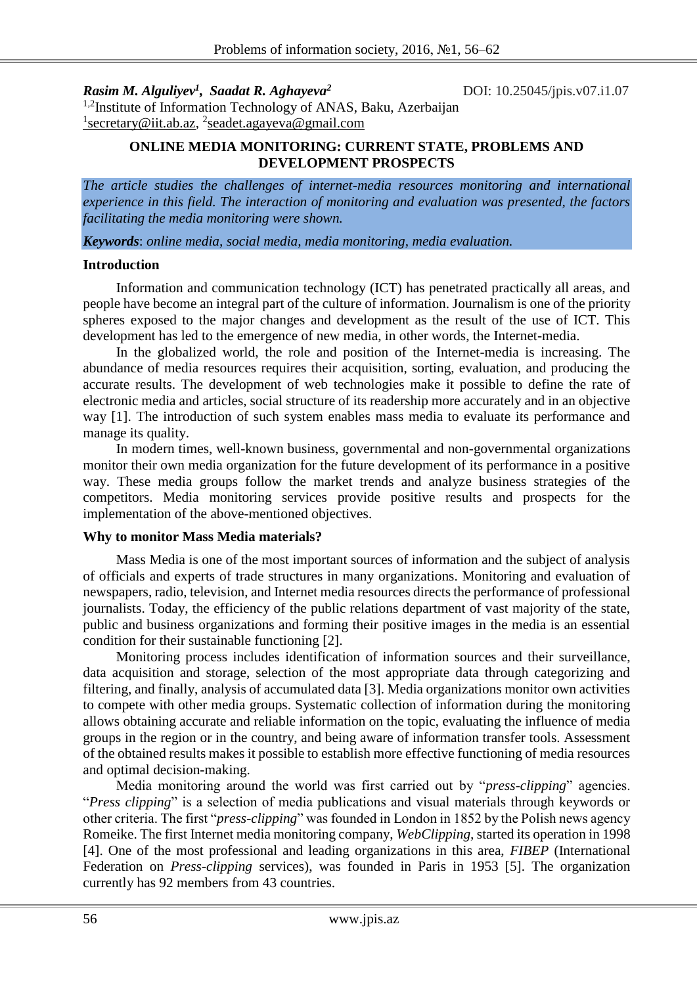*Rasim M. Alguliyev<sup>1</sup> , Saadat R. Aghayeva<sup>2</sup>*

DOI: 10.25045/jpis.v07.i1.07

<sup>1,2</sup>Institute of Information Technology of ANAS, Baku, Azerbaijan <sup>1</sup> secretary@iit.ab.az, <sup>2</sup> seadet.agayeva@gmail.com

# **ONLINE MEDIA MONITORING: CURRENT STATE, PROBLEMS AND DEVELOPMENT PROSPECTS**

*The article studies the challenges of internet-media resources monitoring and international experience in this field. The interaction of monitoring and evaluation was presented, the factors facilitating the media monitoring were shown.*

*Keywords*: *online media, social media, media monitoring, media evaluation.*

#### **Introduction**

Information and communication technology (ICT) has penetrated practically all areas, and people have become an integral part of the culture of information. Journalism is one of the priority spheres exposed to the major changes and development as the result of the use of ICT. This development has led to the emergence of new media, in other words, the Internet-media.

In the globalized world, the role and position of the Internet-media is increasing. The abundance of media resources requires their acquisition, sorting, evaluation, and producing the accurate results. The development of web technologies make it possible to define the rate of electronic media and articles, social structure of its readership more accurately and in an objective way [1]. The introduction of such system enables mass media to evaluate its performance and manage its quality.

In modern times, well-known business, governmental and non-governmental organizations monitor their own media organization for the future development of its performance in a positive way. These media groups follow the market trends and analyze business strategies of the competitors. Media monitoring services provide positive results and prospects for the implementation of the above-mentioned objectives.

### **Why to monitor Mass Media materials?**

Mass Media is one of the most important sources of information and the subject of analysis of officials and experts of trade structures in many organizations. Monitoring and evaluation of newspapers, radio, television, and Internet media resources directs the performance of professional journalists. Today, the efficiency of the public relations department of vast majority of the state, public and business organizations and forming their positive images in the media is an essential condition for their sustainable functioning [2].

Monitoring process includes identification of information sources and their surveillance, data acquisition and storage, selection of the most appropriate data through categorizing and filtering, and finally, analysis of accumulated data [3]. Media organizations monitor own activities to compete with other media groups. Systematic collection of information during the monitoring allows obtaining accurate and reliable information on the topic, evaluating the influence of media groups in the region or in the country, and being aware of information transfer tools. Assessment of the obtained results makes it possible to establish more effective functioning of media resources and optimal decision-making.

Media monitoring around the world was first carried out by "*press-clipping*" agencies. "*Press clipping*" is a selection of media publications and visual materials through keywords or other criteria. The first "*press-clipping*" was founded in London in 1852 by the Polish news agency Romeike. The first Internet media monitoring company, *WebClipping,* started its operation in 1998 [4]. One of the most professional and leading organizations in this area, *FIBEP* (International Federation on *Press-clipping* services), was founded in Paris in 1953 [5]. The organization currently has 92 members from 43 countries.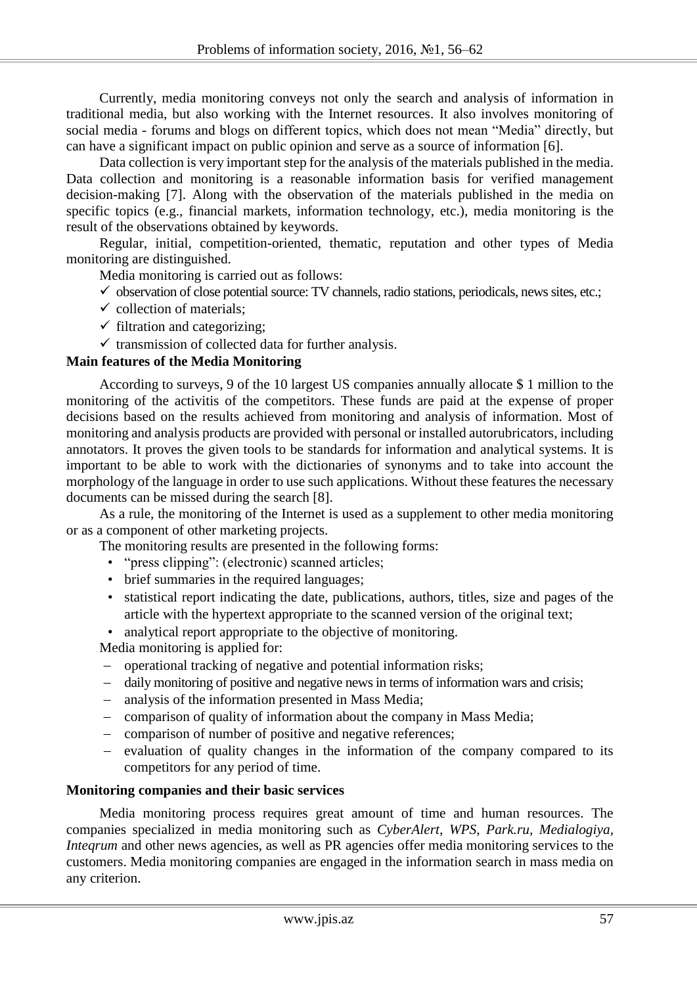Currently, media monitoring conveys not only the search and analysis of information in traditional media, but also working with the Internet resources. It also involves monitoring of social media - forums and blogs on different topics, which does not mean "Media" directly, but can have a significant impact on public opinion and serve as a source of information [6].

Data collection is very important step for the analysis of the materials published in the media. Data collection and monitoring is a reasonable information basis for verified management decision-making [7]. Along with the observation of the materials published in the media on specific topics (e.g., financial markets, information technology, etc.), media monitoring is the result of the observations obtained by keywords.

Regular, initial, competition-oriented, thematic, reputation and other types of Media monitoring are distinguished.

Media monitoring is carried out as follows:

- $\checkmark$  observation of close potential source: TV channels, radio stations, periodicals, news sites, etc.;
- $\checkmark$  collection of materials;
- $\checkmark$  filtration and categorizing;
- $\checkmark$  transmission of collected data for further analysis.

## **Main features of the Media Monitoring**

According to surveys, 9 of the 10 largest US companies annually allocate \$ 1 million to the monitoring of the activitis of the competitors. These funds are paid at the expense of proper decisions based on the results achieved from monitoring and analysis of information. Most of monitoring and analysis products are provided with personal or installed autorubricators, including annotators. It proves the given tools to be standards for information and analytical systems. It is important to be able to work with the dictionaries of synonyms and to take into account the morphology of the language in order to use such applications. Without these features the necessary documents can be missed during the search [8].

As a rule, the monitoring of the Internet is used as a supplement to other media monitoring or as a component of other marketing projects.

The monitoring results are presented in the following forms:

- "press clipping": (electronic) scanned articles;
- brief summaries in the required languages;
- statistical report indicating the date, publications, authors, titles, size and pages of the article with the hypertext appropriate to the scanned version of the original text;

• analytical report appropriate to the objective of monitoring.

Media monitoring is applied for:

- operational tracking of negative and potential information risks;
- daily monitoring of positive and negative news in terms of information wars and crisis;
- analysis of the information presented in Mass Media;
- comparison of quality of information about the company in Mass Media;
- comparison of number of positive and negative references;
- $\hbox{e}$  evaluation of quality changes in the information of the company compared to its competitors for any period of time.

### **Monitoring companies and their basic services**

Media monitoring process requires great amount of time and human resources. The companies specialized in media monitoring such as *CyberAlert, WPS, Park.ru, Medialogiya, Integrum* and other news agencies, as well as PR agencies offer media monitoring services to the customers. Media monitoring companies are engaged in the information search in mass media on any criterion.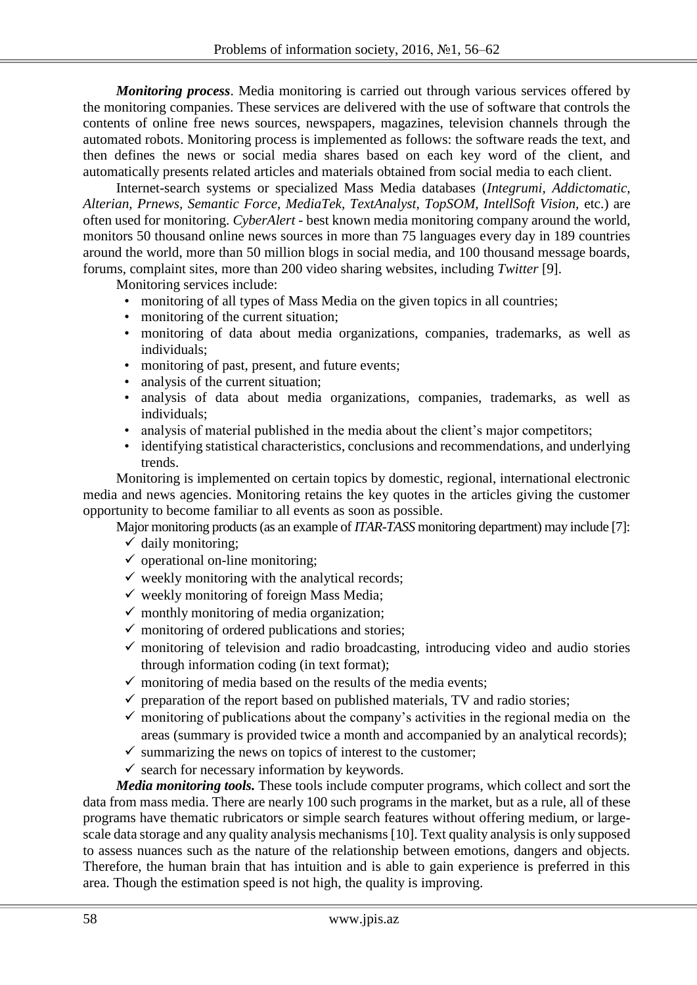*Monitoring process*. Media monitoring is carried out through various services offered by the monitoring companies. These services are delivered with the use of software that controls the contents of online free news sources, newspapers, magazines, television channels through the automated robots. Monitoring process is implemented as follows: the software reads the text, and then defines the news or social media shares based on each key word of the client, and automatically presents related articles and materials obtained from social media to each client.

Internet-search systems or specialized Mass Media databases (*Integrumi, Addictomatic, Alterian, Prnews, Semantic Force, MediaTek, TextAnalyst, TopSOM, IntellSoft Vision,* etc.) are often used for monitoring. *CyberAlert -* best known media monitoring company around the world, monitors 50 thousand online news sources in more than 75 languages every day in 189 countries around the world, more than 50 million blogs in social media, and 100 thousand message boards, forums, complaint sites, more than 200 video sharing websites, including *Twitter* [9].

Monitoring services include:

- monitoring of all types of Mass Media on the given topics in all countries;
- monitoring of the current situation;
- monitoring of data about media organizations, companies, trademarks, as well as individuals;
- monitoring of past, present, and future events;
- analysis of the current situation;
- analysis of data about media organizations, companies, trademarks, as well as individuals;
- analysis of material published in the media about the client's major competitors;
- identifying statistical characteristics, conclusions and recommendations, and underlying trends.

Monitoring is implemented on certain topics by domestic, regional, international electronic media and news agencies. Monitoring retains the key quotes in the articles giving the customer opportunity to become familiar to all events as soon as possible.

Major monitoring products (as an example of *ITAR-TASS* monitoring department) may include [7]:  $\checkmark$  daily monitoring;

- $\checkmark$  operational on-line monitoring;
- $\checkmark$  weekly monitoring with the analytical records:
- $\checkmark$  weekly monitoring of foreign Mass Media;
- $\checkmark$  monthly monitoring of media organization;
- $\checkmark$  monitoring of ordered publications and stories;
- $\checkmark$  monitoring of television and radio broadcasting, introducing video and audio stories through information coding (in text format);
- $\checkmark$  monitoring of media based on the results of the media events;
- $\checkmark$  preparation of the report based on published materials. TV and radio stories;
- $\checkmark$  monitoring of publications about the company's activities in the regional media on the areas (summary is provided twice a month and accompanied by an analytical records);
- $\checkmark$  summarizing the news on topics of interest to the customer;
- $\checkmark$  search for necessary information by keywords.

*Media monitoring tools.* These tools include computer programs, which collect and sort the data from mass media. There are nearly 100 such programs in the market, but as a rule, all of these programs have thematic rubricators or simple search features without offering medium, or largescale data storage and any quality analysis mechanisms [10]. Text quality analysis is only supposed to assess nuances such as the nature of the relationship between emotions, dangers and objects. Therefore, the human brain that has intuition and is able to gain experience is preferred in this area. Though the estimation speed is not high, the quality is improving.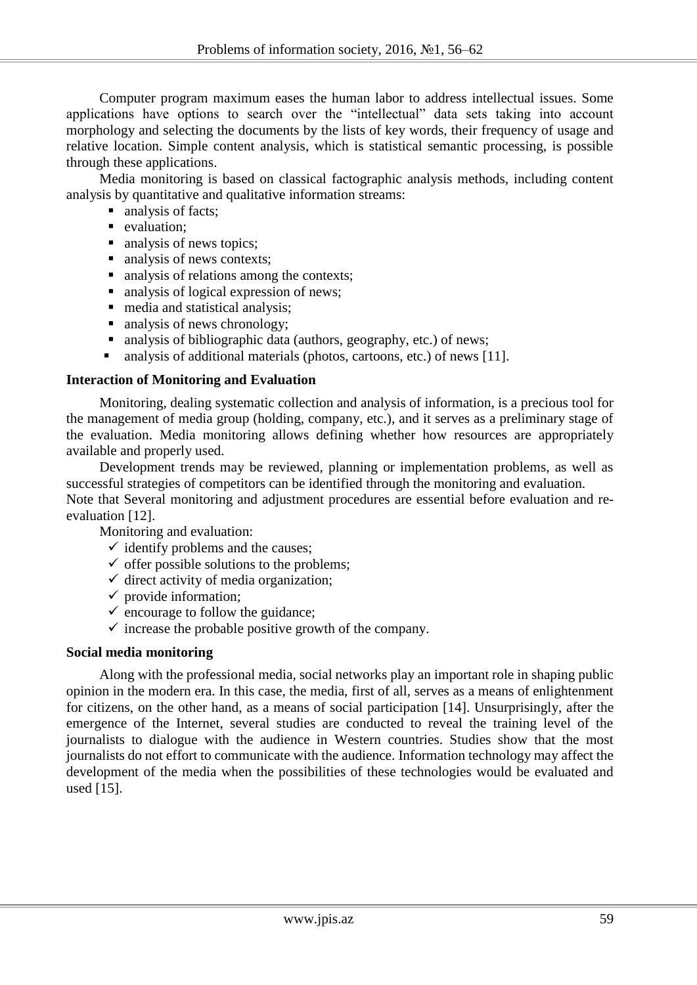Computer program maximum eases the human labor to address intellectual issues. Some applications have options to search over the "intellectual" data sets taking into account morphology and selecting the documents by the lists of key words, their frequency of usage and relative location. Simple content analysis, which is statistical semantic processing, is possible through these applications.

Media monitoring is based on classical factographic analysis methods, including content analysis by quantitative and qualitative information streams:

- analysis of facts;
- valuation:
- analysis of news topics;
- analysis of news contexts;
- analysis of relations among the contexts:
- analysis of logical expression of news;
- media and statistical analysis;
- analysis of news chronology;
- analysis of bibliographic data (authors, geography, etc.) of news;
- analysis of additional materials (photos, cartoons, etc.) of news [11].

# **Interaction of Monitoring and Evaluation**

Monitoring, dealing systematic collection and analysis of information, is a precious tool for the management of media group (holding, company, etc.), and it serves as a preliminary stage of the evaluation. Media monitoring allows defining whether how resources are appropriately available and properly used.

Development trends may be reviewed, planning or implementation problems, as well as successful strategies of competitors can be identified through the monitoring and evaluation. Note that Several monitoring and adjustment procedures are essential before evaluation and reevaluation [12].

Monitoring and evaluation:

- $\checkmark$  identify problems and the causes;
- $\checkmark$  offer possible solutions to the problems;
- $\checkmark$  direct activity of media organization;
- $\checkmark$  provide information;
- $\checkmark$  encourage to follow the guidance;
- $\checkmark$  increase the probable positive growth of the company.

### **Social media monitoring**

Along with the professional media, social networks play an important role in shaping public opinion in the modern era. In this case, the media, first of all, serves as a means of enlightenment for citizens, on the other hand, as a means of social participation [14]. Unsurprisingly, after the emergence of the Internet, several studies are conducted to reveal the training level of the journalists to dialogue with the audience in Western countries. Studies show that the most journalists do not effort to communicate with the audience. Information technology may affect the development of the media when the possibilities of these technologies would be evaluated and used [15].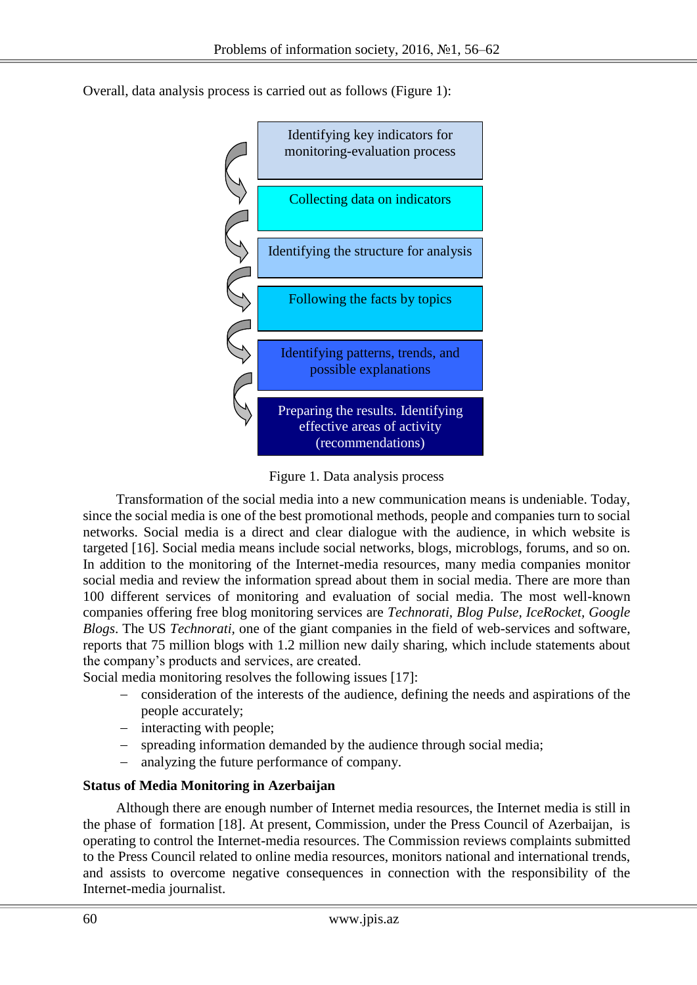Overall, data analysis process is carried out as follows (Figure 1):



Figure 1. Data analysis process

Transformation of the social media into a new communication means is undeniable. Today, since the social media is one of the best promotional methods, people and companies turn to social networks. Social media is a direct and clear dialogue with the audience, in which website is targeted [16]. Social media means include social networks, blogs, microblogs, forums, and so on. In addition to the monitoring of the Internet-media resources, many media companies monitor social media and review the information spread about them in social media. There are more than 100 different services of monitoring and evaluation of social media. The most well-known companies offering free blog monitoring services are *Technorati, Blog Pulse, IceRocket, Google Blogs*. The US *Technorati,* one of the giant companies in the field of web-services and software, reports that 75 million blogs with 1.2 million new daily sharing, which include statements about the company's products and services, are created.

Social media monitoring resolves the following issues [17]:

- consideration of the interests of the audience, defining the needs and aspirations of the people accurately;
- interacting with people;
- spreading information demanded by the audience through social media;
- analyzing the future performance of company.

# **Status of Media Monitoring in Azerbaijan**

Although there are enough number of Internet media resources, the Internet media is still in the phase of formation [18]. At present, Commission, under the Press Council of Azerbaijan, is operating to control the Internet-media resources. The Commission reviews complaints submitted to the Press Council related to online media resources, monitors national and international trends, and assists to overcome negative consequences in connection with the responsibility of the Internet-media journalist.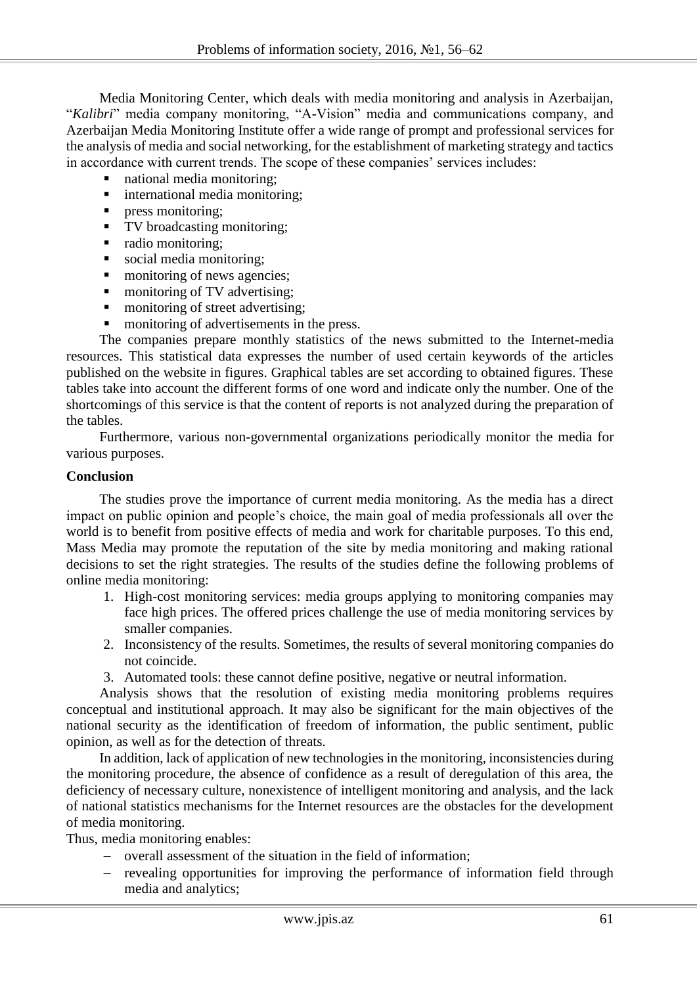Media Monitoring Center, which deals with media monitoring and analysis in Azerbaijan, "*Kalibri*" media company monitoring, "A-Vision" media and communications company, and Azerbaijan Media Monitoring Institute offer a wide range of prompt and professional services for the analysis of media and social networking, for the establishment of marketing strategy and tactics in accordance with current trends. The scope of these companies' services includes:

- national media monitoring;
- **i** international media monitoring;
- press monitoring;
- TV broadcasting monitoring;
- radio monitoring;
- social media monitoring;
- **n** monitoring of news agencies:
- monitoring of TV advertising;
- monitoring of street advertising;
- monitoring of advertisements in the press.

The companies prepare monthly statistics of the news submitted to the Internet-media resources. This statistical data expresses the number of used certain keywords of the articles published on the website in figures. Graphical tables are set according to obtained figures. These tables take into account the different forms of one word and indicate only the number. One of the shortcomings of this service is that the content of reports is not analyzed during the preparation of the tables.

Furthermore, various non-governmental organizations periodically monitor the media for various purposes.

#### **Conclusion**

The studies prove the importance of current media monitoring. As the media has a direct impact on public opinion and people's choice, the main goal of media professionals all over the world is to benefit from positive effects of media and work for charitable purposes. To this end, Mass Media may promote the reputation of the site by media monitoring and making rational decisions to set the right strategies. The results of the studies define the following problems of online media monitoring:

- 1. High-cost monitoring services: media groups applying to monitoring companies may face high prices. The offered prices challenge the use of media monitoring services by smaller companies.
- 2. Inconsistency of the results. Sometimes, the results of several monitoring companies do not coincide.
- 3. Automated tools: these cannot define positive, negative or neutral information.

Analysis shows that the resolution of existing media monitoring problems requires conceptual and institutional approach. It may also be significant for the main objectives of the national security as the identification of freedom of information, the public sentiment, public opinion, as well as for the detection of threats.

In addition, lack of application of new technologies in the monitoring, inconsistencies during the monitoring procedure, the absence of confidence as a result of deregulation of this area, the deficiency of necessary culture, nonexistence of intelligent monitoring and analysis, and the lack of national statistics mechanisms for the Internet resources are the obstacles for the development of media monitoring.

Thus, media monitoring enables:

- overall assessment of the situation in the field of information;
- revealing opportunities for improving the performance of information field through media and analytics;